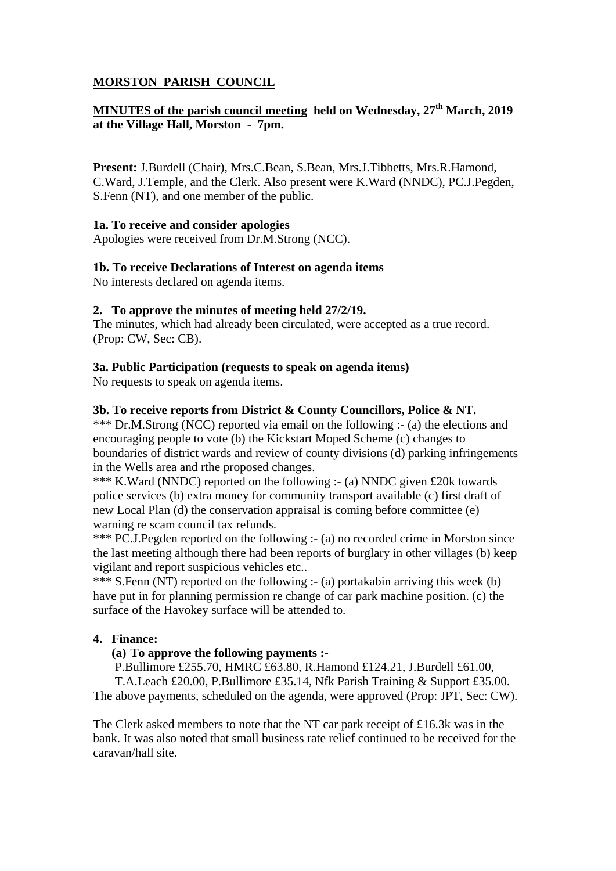# **MORSTON PARISH COUNCIL**

# **MINUTES of the parish council meeting held on Wednesday, 27th March, 2019 at the Village Hall, Morston - 7pm.**

**Present:** J.Burdell (Chair), Mrs.C.Bean, S.Bean, Mrs.J.Tibbetts, Mrs.R.Hamond, C.Ward, J.Temple, and the Clerk. Also present were K.Ward (NNDC), PC.J.Pegden, S.Fenn (NT), and one member of the public.

## **1a. To receive and consider apologies**

Apologies were received from Dr.M.Strong (NCC).

## **1b. To receive Declarations of Interest on agenda items**

No interests declared on agenda items.

## **2. To approve the minutes of meeting held 27/2/19.**

The minutes, which had already been circulated, were accepted as a true record. (Prop: CW, Sec: CB).

## **3a. Public Participation (requests to speak on agenda items)**

No requests to speak on agenda items.

## **3b. To receive reports from District & County Councillors, Police & NT.**

\*\*\* Dr.M.Strong (NCC) reported via email on the following :- (a) the elections and encouraging people to vote (b) the Kickstart Moped Scheme (c) changes to boundaries of district wards and review of county divisions (d) parking infringements in the Wells area and rthe proposed changes.

\*\*\* K.Ward (NNDC) reported on the following :- (a) NNDC given £20k towards police services (b) extra money for community transport available (c) first draft of new Local Plan (d) the conservation appraisal is coming before committee (e) warning re scam council tax refunds.

\*\*\* PC.J.Pegden reported on the following :- (a) no recorded crime in Morston since the last meeting although there had been reports of burglary in other villages (b) keep vigilant and report suspicious vehicles etc..

\*\*\* S.Fenn (NT) reported on the following :- (a) portakabin arriving this week (b) have put in for planning permission re change of car park machine position. (c) the surface of the Havokey surface will be attended to.

# **4. Finance:**

#### **(a) To approve the following payments :-**

P.Bullimore £255.70, HMRC £63.80, R.Hamond £124.21, J.Burdell £61.00, T.A.Leach £20.00, P.Bullimore £35.14, Nfk Parish Training & Support £35.00. The above payments, scheduled on the agenda, were approved (Prop: JPT, Sec: CW).

The Clerk asked members to note that the NT car park receipt of £16.3k was in the bank. It was also noted that small business rate relief continued to be received for the caravan/hall site.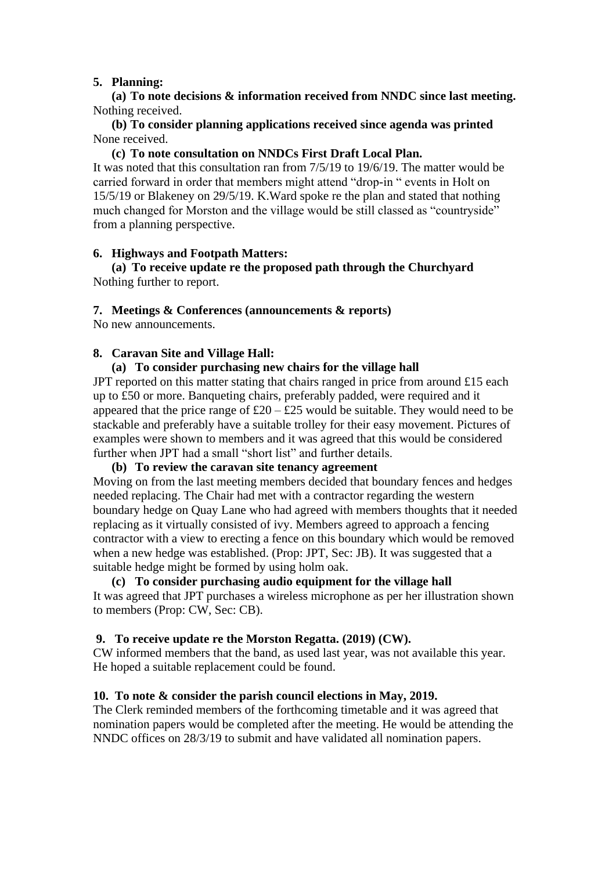#### **5. Planning:**

**(a) To note decisions & information received from NNDC since last meeting.** Nothing received.

**(b) To consider planning applications received since agenda was printed** None received.

#### **(c) To note consultation on NNDCs First Draft Local Plan.**

It was noted that this consultation ran from 7/5/19 to 19/6/19. The matter would be carried forward in order that members might attend "drop-in " events in Holt on 15/5/19 or Blakeney on 29/5/19. K.Ward spoke re the plan and stated that nothing much changed for Morston and the village would be still classed as "countryside" from a planning perspective.

#### **6. Highways and Footpath Matters:**

**(a) To receive update re the proposed path through the Churchyard** Nothing further to report.

## **7. Meetings & Conferences (announcements & reports)**

No new announcements.

## **8. Caravan Site and Village Hall:**

## **(a) To consider purchasing new chairs for the village hall**

JPT reported on this matter stating that chairs ranged in price from around £15 each up to £50 or more. Banqueting chairs, preferably padded, were required and it appeared that the price range of  $£20 - £25$  would be suitable. They would need to be stackable and preferably have a suitable trolley for their easy movement. Pictures of examples were shown to members and it was agreed that this would be considered further when JPT had a small "short list" and further details.

#### **(b) To review the caravan site tenancy agreement**

Moving on from the last meeting members decided that boundary fences and hedges needed replacing. The Chair had met with a contractor regarding the western boundary hedge on Quay Lane who had agreed with members thoughts that it needed replacing as it virtually consisted of ivy. Members agreed to approach a fencing contractor with a view to erecting a fence on this boundary which would be removed when a new hedge was established. (Prop: JPT, Sec: JB). It was suggested that a suitable hedge might be formed by using holm oak.

## **(c) To consider purchasing audio equipment for the village hall** It was agreed that JPT purchases a wireless microphone as per her illustration shown to members (Prop: CW, Sec: CB).

# **9. To receive update re the Morston Regatta. (2019) (CW).**

CW informed members that the band, as used last year, was not available this year. He hoped a suitable replacement could be found.

# **10. To note & consider the parish council elections in May, 2019.**

The Clerk reminded members of the forthcoming timetable and it was agreed that nomination papers would be completed after the meeting. He would be attending the NNDC offices on 28/3/19 to submit and have validated all nomination papers.